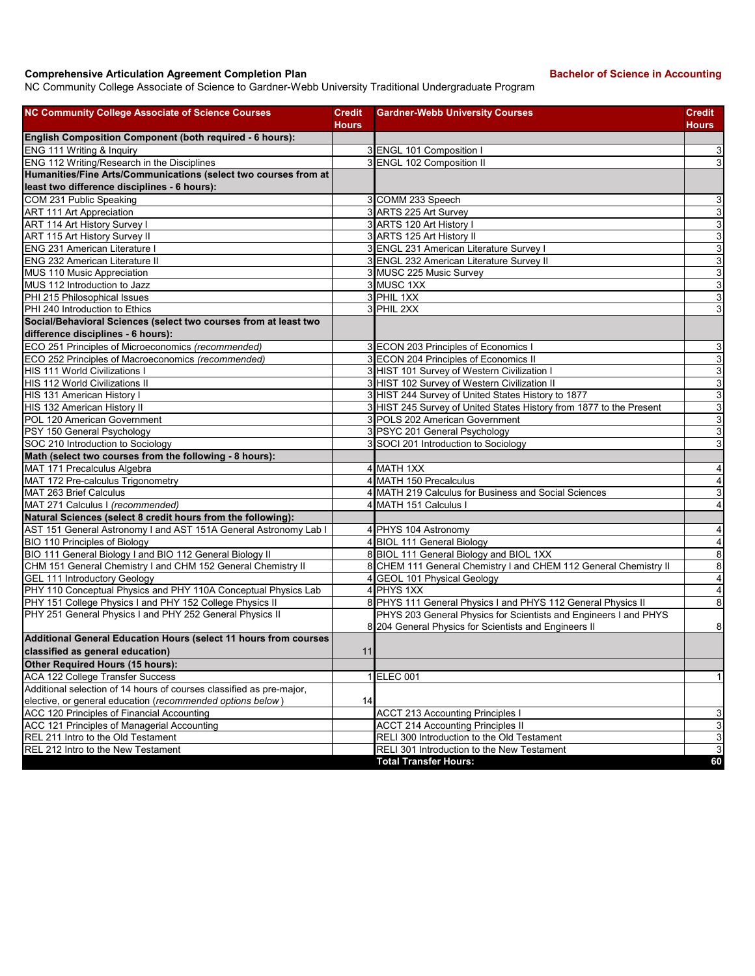## **Comprehensive Articulation Agreement Completion Plan Backelor of Science in Accounting**

NC Community College Associate of Science to Gardner-Webb University Traditional Undergraduate Program

| <b>NC Community College Associate of Science Courses</b>             | Credit       | <b>Gardner-Webb University Courses</b>                              | <b>Credit</b>           |
|----------------------------------------------------------------------|--------------|---------------------------------------------------------------------|-------------------------|
|                                                                      | <b>Hours</b> |                                                                     | <b>Hours</b>            |
| English Composition Component (both required - 6 hours):             |              |                                                                     |                         |
| ENG 111 Writing & Inquiry                                            |              | 3 ENGL 101 Composition I                                            | 3                       |
| ENG 112 Writing/Research in the Disciplines                          |              | 3 ENGL 102 Composition II                                           | 3                       |
| Humanities/Fine Arts/Communications (select two courses from at      |              |                                                                     |                         |
| least two difference disciplines - 6 hours):                         |              |                                                                     |                         |
| COM 231 Public Speaking                                              |              | 3 COMM 233 Speech                                                   | 3                       |
| ART 111 Art Appreciation                                             |              | 3 ARTS 225 Art Survey                                               | 3                       |
| <b>ART 114 Art History Survey I</b>                                  |              | 3 ARTS 120 Art History I                                            | 3                       |
| <b>ART 115 Art History Survey II</b>                                 |              | 3 ARTS 125 Art History II                                           | 3                       |
| ENG 231 American Literature I                                        |              | 3 ENGL 231 American Literature Survey I                             | 3                       |
| <b>ENG 232 American Literature II</b>                                |              | 3 ENGL 232 American Literature Survey II                            | 3                       |
| MUS 110 Music Appreciation                                           |              | 3 MUSC 225 Music Survey                                             | 3                       |
| MUS 112 Introduction to Jazz                                         |              | 3 MUSC 1XX                                                          | 3                       |
| PHI 215 Philosophical Issues                                         |              | 3 PHIL 1XX                                                          | 3                       |
| PHI 240 Introduction to Ethics                                       |              | 3 PHIL 2XX                                                          | 3                       |
| Social/Behavioral Sciences (select two courses from at least two     |              |                                                                     |                         |
| difference disciplines - 6 hours):                                   |              |                                                                     |                         |
| ECO 251 Principles of Microeconomics (recommended)                   |              | 3 ECON 203 Principles of Economics I                                | 3                       |
| ECO 252 Principles of Macroeconomics (recommended)                   |              | 3 ECON 204 Principles of Economics II                               | 3                       |
| HIS 111 World Civilizations I                                        |              | 3 HIST 101 Survey of Western Civilization I                         | 3                       |
| HIS 112 World Civilizations II                                       |              | 3 HIST 102 Survey of Western Civilization II                        | 3                       |
| HIS 131 American History I                                           |              | 3 HIST 244 Survey of United States History to 1877                  | 3                       |
| HIS 132 American History II                                          |              | 3 HIST 245 Survey of United States History from 1877 to the Present | $\mathbf{3}$            |
| POL 120 American Government                                          |              | 3 POLS 202 American Government                                      | 3                       |
| PSY 150 General Psychology                                           |              | 3 PSYC 201 General Psychology                                       | 3                       |
| SOC 210 Introduction to Sociology                                    |              | 3 SOCI 201 Introduction to Sociology                                | 3                       |
| Math (select two courses from the following - 8 hours):              |              |                                                                     |                         |
| MAT 171 Precalculus Algebra                                          |              | 4 MATH 1XX                                                          | 4                       |
| MAT 172 Pre-calculus Trigonometry                                    |              | 4 MATH 150 Precalculus                                              | $\overline{\mathbf{4}}$ |
| MAT 263 Brief Calculus                                               |              | 4 MATH 219 Calculus for Business and Social Sciences                | 3                       |
| MAT 271 Calculus I (recommended)                                     |              | 4 MATH 151 Calculus I                                               | $\overline{4}$          |
| Natural Sciences (select 8 credit hours from the following):         |              |                                                                     |                         |
| AST 151 General Astronomy I and AST 151A General Astronomy Lab I     |              | PHYS 104 Astronomy                                                  | 4                       |
| BIO 110 Principles of Biology                                        |              | 4 BIOL 111 General Biology                                          | $\overline{4}$          |
| BIO 111 General Biology I and BIO 112 General Biology II             |              | 8 BIOL 111 General Biology and BIOL 1XX                             | 8                       |
| CHM 151 General Chemistry I and CHM 152 General Chemistry II         |              | 8 CHEM 111 General Chemistry I and CHEM 112 General Chemistry II    | 8                       |
| <b>GEL 111 Introductory Geology</b>                                  |              | 4 GEOL 101 Physical Geology                                         | $\overline{4}$          |
| PHY 110 Conceptual Physics and PHY 110A Conceptual Physics Lab       |              | 4 PHYS 1XX                                                          | $\overline{\mathbf{4}}$ |
| PHY 151 College Physics I and PHY 152 College Physics II             |              | 8 PHYS 111 General Physics I and PHYS 112 General Physics II        | 8                       |
| PHY 251 General Physics I and PHY 252 General Physics II             |              | PHYS 203 General Physics for Scientists and Engineers I and PHYS    |                         |
| Additional General Education Hours (select 11 hours from courses     |              | 8 204 General Physics for Scientists and Engineers II               | 8                       |
| classified as general education)                                     | 11           |                                                                     |                         |
| Other Required Hours (15 hours):                                     |              |                                                                     |                         |
| ACA 122 College Transfer Success                                     |              | 1 ELEC 001                                                          | 1                       |
| Additional selection of 14 hours of courses classified as pre-major, |              |                                                                     |                         |
| elective, or general education (recommended options below)           | 14           |                                                                     |                         |
| ACC 120 Principles of Financial Accounting                           |              | <b>ACCT 213 Accounting Principles I</b>                             | 3                       |
| ACC 121 Principles of Managerial Accounting                          |              | <b>ACCT 214 Accounting Principles II</b>                            | 3                       |
| REL 211 Intro to the Old Testament                                   |              | RELI 300 Introduction to the Old Testament                          | 3                       |
| REL 212 Intro to the New Testament                                   |              | RELI 301 Introduction to the New Testament                          | 3                       |
|                                                                      |              | <b>Total Transfer Hours:</b>                                        | 60                      |